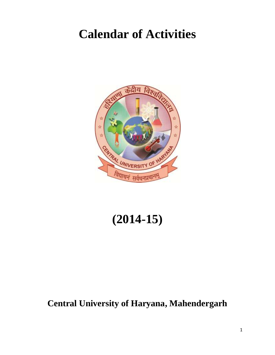# **Calendar of Activities**



# **(2014-15)**

## **Central University of Haryana, Mahendergarh**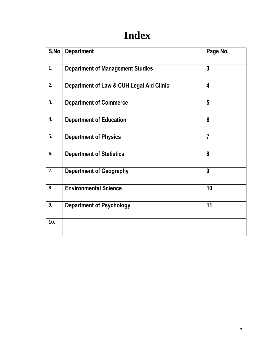# **Index**

| S.No | <b>Department</b>                        | Page No.                |
|------|------------------------------------------|-------------------------|
| 1.   | <b>Department of Management Studies</b>  | $\overline{3}$          |
| 2.   | Department of Law & CUH Legal Aid Clinic | $\overline{\mathbf{4}}$ |
| 3.   | <b>Department of Commerce</b>            | 5                       |
| 4.   | <b>Department of Education</b>           | $6\phantom{1}$          |
| 5.   | <b>Department of Physics</b>             | $\overline{7}$          |
| 6.   | <b>Department of Statistics</b>          | 8                       |
| 7.   | <b>Department of Geography</b>           | 9                       |
| 8.   | <b>Environmental Science</b>             | 10                      |
| 9.   | <b>Department of Psychology</b>          | 11                      |
| 10.  |                                          |                         |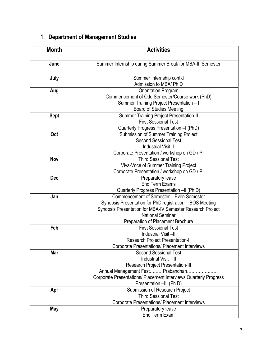## **1. Department of Management Studies**

| <b>Month</b> | <b>Activities</b>                                                                                                                                                                                                                     |  |
|--------------|---------------------------------------------------------------------------------------------------------------------------------------------------------------------------------------------------------------------------------------|--|
| June         | Summer Internship during Summer Break for MBA-III Semester                                                                                                                                                                            |  |
| July         | Summer Internship cont'd<br>Admission to MBA/ Ph D                                                                                                                                                                                    |  |
| Aug          | Orientation Program<br>Commencement of Odd Semester/Course work (PhD)<br>Summer Training Project Presentation - I<br><b>Board of Studies Meeting</b>                                                                                  |  |
| <b>Sept</b>  | Summer Training Project Presentation-II<br><b>First Sessional Test</b><br>Quarterly Progress Presentation - I (PhD)                                                                                                                   |  |
| Oct          | Submission of Summer Training Project<br><b>Second Sessional Test</b><br>Industrial Visit -I<br>Corporate Presentation / workshop on GD / PI                                                                                          |  |
| Nov          | <b>Third Sessional Test</b><br>Viva-Voce of Summer Training Project<br>Corporate Presentation / workshop on GD / PI                                                                                                                   |  |
| <b>Dec</b>   | Preparatory leave<br><b>End Term Exams</b><br>Quarterly Progress Presentation -II (Ph D)                                                                                                                                              |  |
| Jan          | Commencement of Semester - Even Semester<br>Synopsis Presentation for PhD registration - BOS Meeting<br>Synopsis Presentation for MBA-IV Semester Research Project<br><b>National Seminar</b><br>Preparation of Placement Brochure    |  |
| Feb          | <b>First Sessional Test</b><br>Industrial Visit-II<br><b>Research Project Presentation-II</b><br><b>Corporate Presentations/ Placement Interviews</b>                                                                                 |  |
| Mar          | <b>Second Sessional Test</b><br>Industrial Visit-III<br><b>Research Project Presentation-III</b><br>Annual Management FestPrabandhan.<br>Corporate Presentations/ Placement Interviews Quarterly Progress<br>Presentation -III (Ph D) |  |
| Apr          | Submission of Research Project<br><b>Third Sessional Test</b><br>Corporate Presentations/ Placement Interviews                                                                                                                        |  |
| May          | Preparatory leave<br>End Term Exam                                                                                                                                                                                                    |  |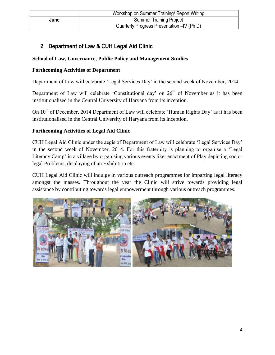#### **2. Department of Law & CUH Legal Aid Clinic**

#### **School of Law, Governance, Public Policy and Management Studies**

#### **Forthcoming Activities of Department**

Department of Law will celebrate 'Legal Services Day' in the second week of November, 2014.

Department of Law will celebrate 'Constitutional day' on  $26<sup>th</sup>$  of November as it has been institutionalised in the Central University of Haryana from its inception.

On 10<sup>th</sup> of December, 2014 Department of Law will celebrate 'Human Rights Day' as it has been institutionalised in the Central University of Haryana from its inception.

#### **Forthcoming Activities of Legal Aid Clinic**

CUH Legal Aid Clinic under the aegis of Department of Law will celebrate 'Legal Services Day' in the second week of November, 2014. For this fraternity is planning to organise a 'Legal Literacy Camp' in a village by organising various events like: enactment of Play depicting sociolegal Problems, displaying of an Exhibition etc.

CUH Legal Aid Clinic will indulge in various outreach programmes for imparting legal literacy amongst the masses. Throughout the year the Clinic will strive towards providing legal assistance by contributing towards legal empowerment through various outreach programmes.

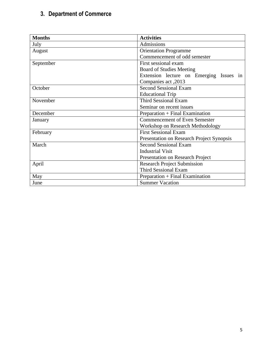## **3. Department of Commerce**

| <b>Months</b>                           | <b>Activities</b>                         |  |
|-----------------------------------------|-------------------------------------------|--|
| July                                    | Admissions                                |  |
| August                                  | <b>Orientation Programme</b>              |  |
|                                         | Commencement of odd semester              |  |
| September                               | First sessional exam                      |  |
|                                         | <b>Board of Studies Meeting</b>           |  |
|                                         | Extension lecture on Emerging Issues in   |  |
|                                         | Companies act, 2013                       |  |
| <b>Second Sessional Exam</b><br>October |                                           |  |
|                                         | <b>Educational Trip</b>                   |  |
| November                                | <b>Third Sessional Exam</b>               |  |
|                                         | Seminar on recent issues                  |  |
| December                                | Preparation + Final Examination           |  |
| January                                 | <b>Commencement of Even Semester</b>      |  |
|                                         | <b>Workshop on Research Methodology</b>   |  |
| February                                | <b>First Sessional Exam</b>               |  |
|                                         | Presentation on Research Project Synopsis |  |
| March                                   | <b>Second Sessional Exam</b>              |  |
|                                         | <b>Industrial Visit</b>                   |  |
|                                         | <b>Presentation on Research Project</b>   |  |
| April                                   | <b>Research Project Submission</b>        |  |
|                                         | <b>Third Sessional Exam</b>               |  |
| May                                     | Preparation + Final Examination           |  |
| June                                    | <b>Summer Vacation</b>                    |  |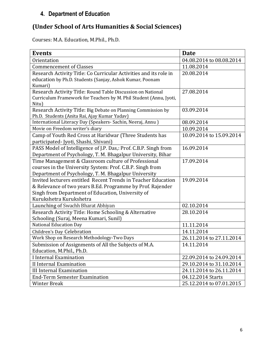#### **4. Department of Education**

#### **(Under School of Arts Humanities & Social Sciences)**

Courses: M.A. Education, M.Phil., Ph.D.

| <b>Events</b>                                                      | <b>Date</b>              |
|--------------------------------------------------------------------|--------------------------|
| Orientation                                                        | 04.08.2014 to 08.08.2014 |
| <b>Commencement of Classes</b>                                     | 11.08.2014               |
| Research Activity Title: Co Curricular Activities and its role in  | 20.08.2014               |
| education by Ph.D. Students (Sanjay, Ashok Kumar, Poonam           |                          |
| Kumari)                                                            |                          |
| Research Activity Title: Round Table Discussion on National        | 27.08.2014               |
| Curriculum Framework for Teachers by M. Phil Student (Annu, Jyoti, |                          |
| Nitu)                                                              |                          |
| Research Activity Title: Big Debate on Planning Commission by      | 03.09.2014               |
| Ph.D. Students (Anita Rai, Ajay Kumar Yadav)                       |                          |
| International Literacy Day (Speakers- Sachin, Neeraj, Annu)        | 08.09.2014               |
| Movie on Freedom writer's diary                                    | 10.09.2014               |
| Camp of Youth Red Cross at Haridwar (Three Students has            | 10.09.2014 to 15.09.2014 |
| participated- Jyoti, Shashi, Shivani)                              |                          |
| PASS Model of Intelligence of J.P. Das,: Prof. C.B.P. Singh from   | 16.09.2014               |
| Department of Psychology, T. M. Bhagalpur University, Bihar        |                          |
| Time Management & Classroom culture of Professional                | 17.09.2014               |
| courses in the University System: Prof. C.B.P. Singh from          |                          |
| Department of Psychology, T. M. Bhagalpur University               |                          |
| Invited lecturers entitled Recent Trends in Teacher Education      | 19.09.2014               |
| & Relevance of two years B.Ed. Programme by Prof. Rajender         |                          |
| Singh from Department of Education, University of                  |                          |
| Kurukshetra Kurukshetra                                            |                          |
| Launching of Swachh Bharat Abhiyan                                 | 02.10.2014               |
| Research Activity Title: Home Schooling & Alternative              | 28.10.2014               |
| Schooling (Suraj, Meena Kumari, Sunil)                             |                          |
| <b>National Education Day</b>                                      | 11.11.2014               |
| Children's Day Celebration                                         | 14.11.2014               |
| Work Shop on Research Methodology-Two Days                         | 26.11.2014 to 27.11.2014 |
| Submission of Assignments of All the Subjects of M.A.              | 14.11.2014               |
| Education, M.Phil., Ph.D.                                          |                          |
| I Internal Examination                                             | 22.09.2014 to 24.09.2014 |
| II Internal Examination                                            | 29.10.2014 to 31.10.2014 |
| <b>III Internal Examination</b>                                    | 24.11.2014 to 26.11.2014 |
| <b>End-Term Semester Examination</b>                               | 04.12.2014 Starts        |
| <b>Winter Break</b>                                                | 25.12.2014 to 07.01.2015 |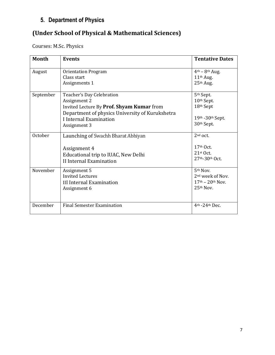## **5. Department of Physics**

#### **(Under School of Physical & Mathematical Sciences)**

Courses: M.Sc. Physics

| <b>Month</b> | <b>Events</b>                                                                                                                                                                       | <b>Tentative Dates</b>                                                                    |
|--------------|-------------------------------------------------------------------------------------------------------------------------------------------------------------------------------------|-------------------------------------------------------------------------------------------|
| August       | <b>Orientation Program</b><br>Class start<br>Assignments 1                                                                                                                          | $4th - 8th Aug.$<br>11 <sup>th</sup> Aug.<br>25th Aug.                                    |
| September    | Teacher's Day Celebration<br>Assignment 2<br>Invited Lecture By Prof. Shyam Kumar from<br>Department of physics University of Kurukshetra<br>I Internal Examination<br>Assignment 3 | 5 <sup>th</sup> Sept.<br>10th Sept.<br>18th Sept<br>19th - 30th Sept.<br>30th Sept.       |
| October      | Launching of Swachh Bharat Abhiyan<br>Assignment 4<br>Educational trip to IUAC, New Delhi<br>II Internal Examination                                                                | $2nd$ oct.<br>$17th$ Oct.<br>21st Oct.<br>27th-30th Oct.                                  |
| November     | Assignment 5<br><b>Invited Lectures</b><br><b>III Internal Examination</b><br>Assignment 6                                                                                          | 5 <sup>th</sup> Nov.<br>2 <sup>nd</sup> week of Nov.<br>$17th - 20th$ Nov.<br>$25th$ Nov. |
| December     | <b>Final Semester Examination</b>                                                                                                                                                   | 4th -24th Dec.                                                                            |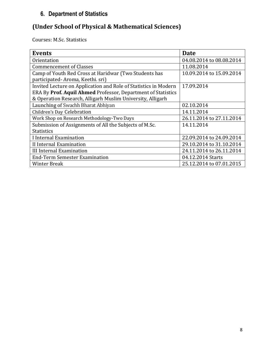#### **6. Department of Statistics**

## **(Under School of Physical & Mathematical Sciences)**

Courses: M.Sc. Statistics

| <b>Events</b>                                                   | <b>Date</b>              |
|-----------------------------------------------------------------|--------------------------|
| Orientation                                                     | 04.08.2014 to 08.08.2014 |
| <b>Commencement of Classes</b>                                  | 11.08.2014               |
| Camp of Youth Red Cross at Haridwar (Two Students has           | 10.09.2014 to 15.09.2014 |
| participated-Aroma, Keethi. sri)                                |                          |
| Invited Lecture on Application and Role of Statistics in Modern | 17.09.2014               |
| ERA By Prof. Aquil Ahmed Professor, Department of Statistics    |                          |
| & Operation Research, Alligarh Muslim University, Alligarh      |                          |
| Launching of Swachh Bharat Abhiyan                              | 02.10.2014               |
| Children's Day Celebration                                      | 14.11.2014               |
| Work Shop on Research Methodology-Two Days                      | 26.11.2014 to 27.11.2014 |
| Submission of Assignments of All the Subjects of M.Sc.          | 14.11.2014               |
| <b>Statistics</b>                                               |                          |
| I Internal Examination                                          | 22.09.2014 to 24.09.2014 |
| II Internal Examination                                         | 29.10.2014 to 31.10.2014 |
| III Internal Examination                                        | 24.11.2014 to 26.11.2014 |
| <b>End-Term Semester Examination</b>                            | 04.12.2014 Starts        |
| Winter Break                                                    | 25.12.2014 to 07.01.2015 |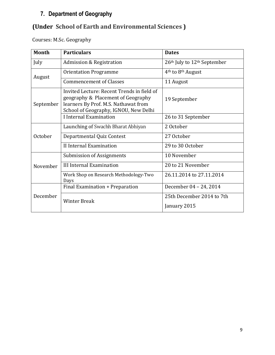#### **7. Department of Geography**

## **(Under School of Earth and Environmental Sciences )**

Courses: M.Sc. Geography

| <b>Month</b> | <b>Particulars</b>                                                                                                                                                | <b>Dates</b>                              |
|--------------|-------------------------------------------------------------------------------------------------------------------------------------------------------------------|-------------------------------------------|
| July         | Admission & Registration                                                                                                                                          | 26th July to 12th September               |
| August       | <b>Orientation Programme</b>                                                                                                                                      | 4 <sup>th</sup> to 8 <sup>th</sup> August |
|              | <b>Commencement of Classes</b>                                                                                                                                    | 11 August                                 |
| September    | Invited Lecture: Recent Trends in field of<br>geography & Placement of Geography<br>learners By Prof. M.S. Nathawat from<br>School of Geography, IGNOU, New Delhi | 19 September                              |
|              | I Internal Examination                                                                                                                                            | 26 to 31 September                        |
|              | Launching of Swachh Bharat Abhiyan                                                                                                                                | 2 October                                 |
| October      | Departmental Quiz Contest                                                                                                                                         | 27 October                                |
|              | II Internal Examination                                                                                                                                           | 29 to 30 October                          |
|              | Submission of Assignments                                                                                                                                         | 10 November                               |
| November     | <b>III Internal Examination</b>                                                                                                                                   | 20 to 21 November                         |
|              | Work Shop on Research Methodology-Two<br>Days                                                                                                                     | 26.11.2014 to 27.11.2014                  |
|              | Final Examination + Preparation                                                                                                                                   | December 04 - 24, 2014                    |
| December     | <b>Winter Break</b>                                                                                                                                               | 25th December 2014 to 7th<br>January 2015 |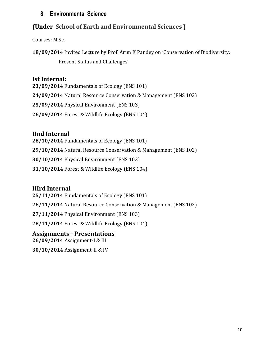#### **8. Environmental Science**

#### **(Under School of Earth and Environmental Sciences )**

Courses: M.Sc.

**18/09/2014** Invited Lecture by Prof. Arun K Pandey on 'Conservation of Biodiversity:

Present Status and Challenges'

#### **Ist Internal:**

**23/09/2014** Fundamentals of Ecology (ENS 101) **24/09/2014** Natural Resource Conservation & Management (ENS 102) **25/09/2014** Physical Environment (ENS 103) **26/09/2014** Forest & Wildlife Ecology (ENS 104)

#### **IInd Internal**

**28/10/2014** Fundamentals of Ecology (ENS 101) **29/10/2014** Natural Resource Conservation & Management (ENS 102) **30/10/2014** Physical Environment (ENS 103) **31/10/2014** Forest & Wildlife Ecology (ENS 104)

#### **IIIrd Internal**

**25/11/2014** Fundamentals of Ecology (ENS 101) **26/11/2014** Natural Resource Conservation & Management (ENS 102) **27/11/2014** Physical Environment (ENS 103) **28/11/2014** Forest & Wildlife Ecology (ENS 104) **Assignments+ Presentations**

## **26/09/2014** Assignment-I & III

**30/10/2014** Assignment-II & IV